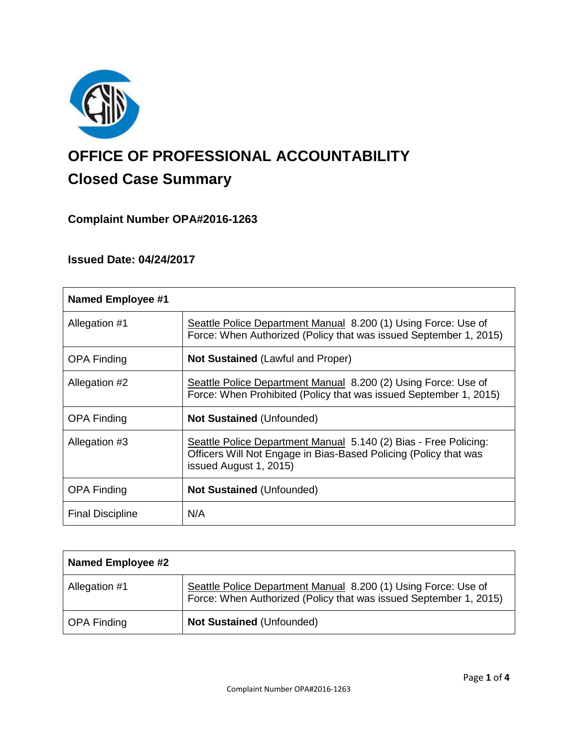

# **OFFICE OF PROFESSIONAL ACCOUNTABILITY Closed Case Summary**

## **Complaint Number OPA#2016-1263**

## **Issued Date: 04/24/2017**

| <b>Named Employee #1</b> |                                                                                                                                                                |
|--------------------------|----------------------------------------------------------------------------------------------------------------------------------------------------------------|
| Allegation #1            | Seattle Police Department Manual 8.200 (1) Using Force: Use of<br>Force: When Authorized (Policy that was issued September 1, 2015)                            |
| <b>OPA Finding</b>       | <b>Not Sustained (Lawful and Proper)</b>                                                                                                                       |
| Allegation #2            | Seattle Police Department Manual 8.200 (2) Using Force: Use of<br>Force: When Prohibited (Policy that was issued September 1, 2015)                            |
| <b>OPA Finding</b>       | <b>Not Sustained (Unfounded)</b>                                                                                                                               |
| Allegation #3            | Seattle Police Department Manual 5.140 (2) Bias - Free Policing:<br>Officers Will Not Engage in Bias-Based Policing (Policy that was<br>issued August 1, 2015) |
| <b>OPA Finding</b>       | <b>Not Sustained (Unfounded)</b>                                                                                                                               |
| <b>Final Discipline</b>  | N/A                                                                                                                                                            |

| <b>Named Employee #2</b> |                                                                                                                                     |
|--------------------------|-------------------------------------------------------------------------------------------------------------------------------------|
| Allegation #1            | Seattle Police Department Manual 8.200 (1) Using Force: Use of<br>Force: When Authorized (Policy that was issued September 1, 2015) |
| <b>OPA Finding</b>       | <b>Not Sustained (Unfounded)</b>                                                                                                    |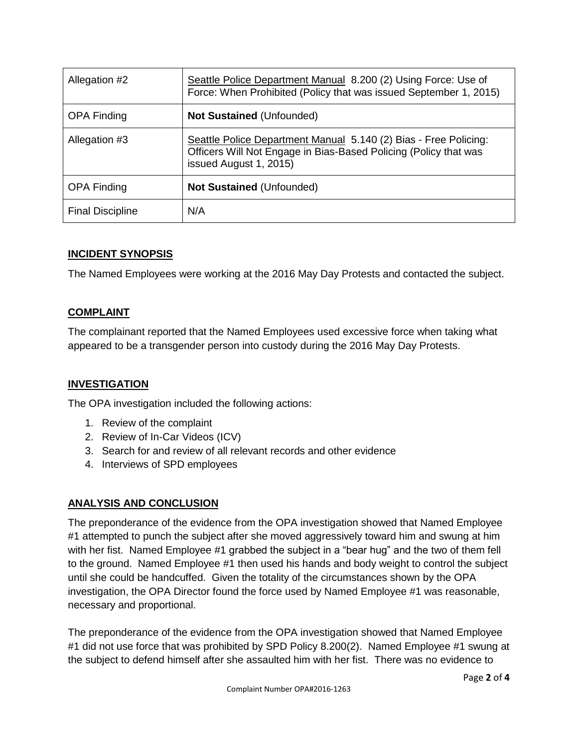| Allegation #2           | Seattle Police Department Manual 8.200 (2) Using Force: Use of<br>Force: When Prohibited (Policy that was issued September 1, 2015)                            |
|-------------------------|----------------------------------------------------------------------------------------------------------------------------------------------------------------|
| <b>OPA Finding</b>      | <b>Not Sustained (Unfounded)</b>                                                                                                                               |
| Allegation #3           | Seattle Police Department Manual 5.140 (2) Bias - Free Policing:<br>Officers Will Not Engage in Bias-Based Policing (Policy that was<br>issued August 1, 2015) |
| <b>OPA Finding</b>      | <b>Not Sustained (Unfounded)</b>                                                                                                                               |
| <b>Final Discipline</b> | N/A                                                                                                                                                            |

## **INCIDENT SYNOPSIS**

The Named Employees were working at the 2016 May Day Protests and contacted the subject.

## **COMPLAINT**

The complainant reported that the Named Employees used excessive force when taking what appeared to be a transgender person into custody during the 2016 May Day Protests.

## **INVESTIGATION**

The OPA investigation included the following actions:

- 1. Review of the complaint
- 2. Review of In-Car Videos (ICV)
- 3. Search for and review of all relevant records and other evidence
- 4. Interviews of SPD employees

## **ANALYSIS AND CONCLUSION**

The preponderance of the evidence from the OPA investigation showed that Named Employee #1 attempted to punch the subject after she moved aggressively toward him and swung at him with her fist. Named Employee #1 grabbed the subject in a "bear hug" and the two of them fell to the ground. Named Employee #1 then used his hands and body weight to control the subject until she could be handcuffed. Given the totality of the circumstances shown by the OPA investigation, the OPA Director found the force used by Named Employee #1 was reasonable, necessary and proportional.

The preponderance of the evidence from the OPA investigation showed that Named Employee #1 did not use force that was prohibited by SPD Policy 8.200(2). Named Employee #1 swung at the subject to defend himself after she assaulted him with her fist. There was no evidence to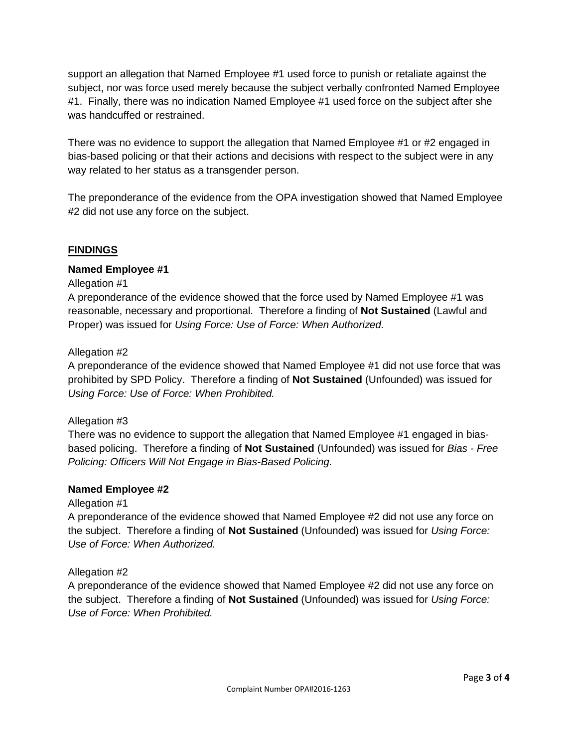support an allegation that Named Employee #1 used force to punish or retaliate against the subject, nor was force used merely because the subject verbally confronted Named Employee #1. Finally, there was no indication Named Employee #1 used force on the subject after she was handcuffed or restrained.

There was no evidence to support the allegation that Named Employee #1 or #2 engaged in bias-based policing or that their actions and decisions with respect to the subject were in any way related to her status as a transgender person.

The preponderance of the evidence from the OPA investigation showed that Named Employee #2 did not use any force on the subject.

#### **FINDINGS**

#### **Named Employee #1**

#### Allegation #1

A preponderance of the evidence showed that the force used by Named Employee #1 was reasonable, necessary and proportional. Therefore a finding of **Not Sustained** (Lawful and Proper) was issued for *Using Force: Use of Force: When Authorized.*

#### Allegation #2

A preponderance of the evidence showed that Named Employee #1 did not use force that was prohibited by SPD Policy. Therefore a finding of **Not Sustained** (Unfounded) was issued for *Using Force: Use of Force: When Prohibited.*

#### Allegation #3

There was no evidence to support the allegation that Named Employee #1 engaged in biasbased policing. Therefore a finding of **Not Sustained** (Unfounded) was issued for *Bias - Free Policing: Officers Will Not Engage in Bias-Based Policing.*

#### **Named Employee #2**

#### Allegation #1

A preponderance of the evidence showed that Named Employee #2 did not use any force on the subject. Therefore a finding of **Not Sustained** (Unfounded) was issued for *Using Force: Use of Force: When Authorized.*

#### Allegation #2

A preponderance of the evidence showed that Named Employee #2 did not use any force on the subject. Therefore a finding of **Not Sustained** (Unfounded) was issued for *Using Force: Use of Force: When Prohibited.*